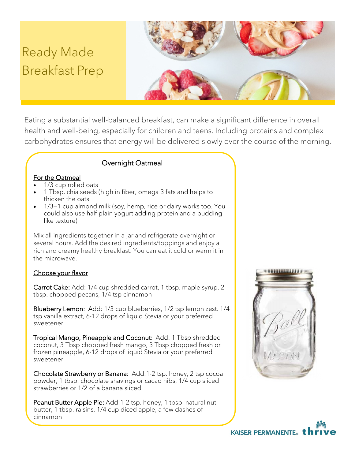# Ready Made Breakfast Prep



Eating a substantial well-balanced breakfast, can make a significant difference in overall health and well-being, especially for children and teens. Including proteins and complex carbohydrates ensures that energy will be delivered slowly over the course of the morning.

## Overnight Oatmeal

#### For the Oatmeal

- 1/3 cup rolled oats
- 1 Tbsp. chia seeds (high in fiber, omega 3 fats and helps to thicken the oats
- 1/3—1 cup almond milk (soy, hemp, rice or dairy works too. You could also use half plain yogurt adding protein and a pudding like texture)

Mix all ingredients together in a jar and refrigerate overnight or several hours. Add the desired ingredients/toppings and enjoy a rich and creamy healthy breakfast. You can eat it cold or warm it in the microwave.

#### Choose your flavor

Carrot Cake: Add: 1/4 cup shredded carrot, 1 tbsp. maple syrup, 2 tbsp. chopped pecans, 1/4 tsp cinnamon

Blueberry Lemon: Add: 1/3 cup blueberries, 1/2 tsp lemon zest. 1/4 tsp vanilla extract, 6-12 drops of liquid Stevia or your preferred sweetener

Tropical Mango, Pineapple and Coconut: Add: 1 Tbsp shredded coconut, 3 Tbsp chopped fresh mango, 3 Tbsp chopped fresh or frozen pineapple, 6-12 drops of liquid Stevia or your preferred sweetener

Chocolate Strawberry or Banana: Add:1-2 tsp. honey, 2 tsp cocoa powder, 1 tbsp. chocolate shavings or cacao nibs, 1/4 cup sliced strawberries or 1/2 of a banana sliced

Peanut Butter Apple Pie: Add:1-2 tsp. honey, 1 tbsp. natural nut butter, 1 tbsp. raisins, 1/4 cup diced apple, a few dashes of cinnamon